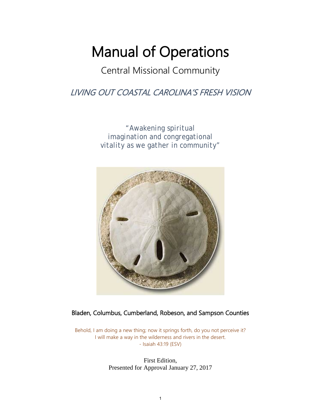# Manual of Operations

## Central Missional Community

### LIVING OUT COASTAL CAROLINA'S FRESH VISION

*"Awakening spiritual imagination and congregational vitality as we gather in community"*



Bladen, Columbus, Cumberland, Robeson, and Sampson Counties

Behold, I am doing a new thing; now it springs forth, do you not perceive it? I will make a way in the wilderness and rivers in the desert. - Isaiah 43:19 (ESV)

> First Edition, Presented for Approval January 27, 2017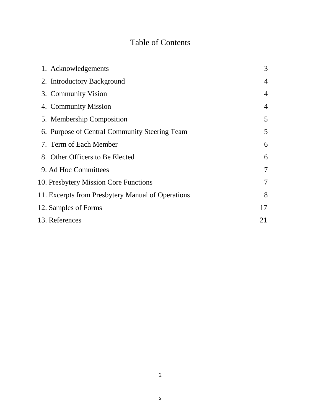## Table of Contents

| 1. Acknowledgements                               | 3              |
|---------------------------------------------------|----------------|
| 2. Introductory Background                        | $\overline{4}$ |
| 3. Community Vision                               | $\overline{4}$ |
| 4. Community Mission                              | $\overline{4}$ |
| 5. Membership Composition                         | 5              |
| 6. Purpose of Central Community Steering Team     | 5              |
| 7. Term of Each Member                            | 6              |
| 8. Other Officers to Be Elected                   | 6              |
| 9. Ad Hoc Committees                              | 7              |
| 10. Presbytery Mission Core Functions             | 7              |
| 11. Excerpts from Presbytery Manual of Operations | 8              |
| 12. Samples of Forms                              | 17             |
| 13. References                                    | 21             |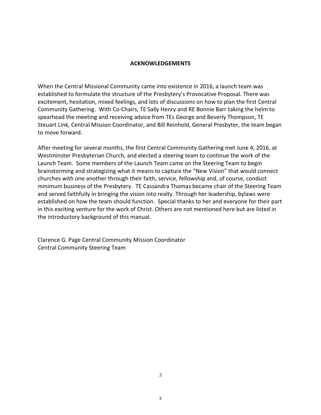#### **ACKNOWLEDGEMENTS**

When the Central Missional Community came into existence in 2016, a launch team was established to formulate the structure of the Presbytery's Provocative Proposal. There was excitement, hesitation, mixed feelings, and lots of discussions on how to plan the first Central Community Gathering. With Co-Chairs, TE Sally Henry and RE Bonnie Barr taking the helm to spearhead the meeting and receiving advice from TEs George and Beverly Thompson, TE Steuart Link, Central Mission Coordinator, and Bill Reinhold, General Presbyter, the team began to move forward.

After meeting for several months, the first Central Community Gathering met June 4, 2016, at Westminster Presbyterian Church, and elected a steering team to continue the work of the Launch Team. Some members of the Launch Team came on the Steering Team to begin brainstorming and strategizing what it means to capture the "New Vision" that would connect churches with one another through their faith, service, fellowship and, of course, conduct minimum business of the Presbytery. TE Cassandra Thomas became chair of the Steering Team and served faithfully in bringing the vision into realty. Through her leadership, bylaws were established on how the team should function. Special thanks to her and everyone for their part in this exciting venture for the work of Christ. Others are not mentioned here but are listed in the introductory background of this manual.

Clarence G. Page Central Community Mission Coordinator Central Community Steering Team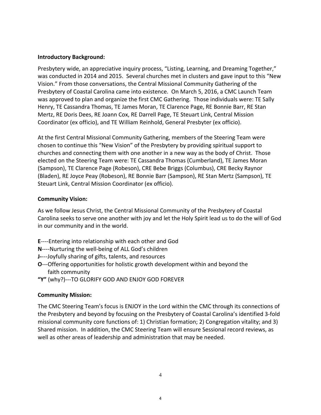#### **Introductory Background:**

Presbytery wide, an appreciative inquiry process, "Listing, Learning, and Dreaming Together," was conducted in 2014 and 2015. Several churches met in clusters and gave input to this "New Vision." From those conversations, the Central Missional Community Gathering of the Presbytery of Coastal Carolina came into existence. On March 5, 2016, a CMC Launch Team was approved to plan and organize the first CMC Gathering. Those individuals were: TE Sally Henry, TE Cassandra Thomas, TE James Moran, TE Clarence Page, RE Bonnie Barr, RE Stan Mertz, RE Doris Dees, RE Joann Cox, RE Darrell Page, TE Steuart Link, Central Mission Coordinator (ex officio), and TE William Reinhold, General Presbyter (ex officio).

At the first Central Missional Community Gathering, members of the Steering Team were chosen to continue this "New Vision" of the Presbytery by providing spiritual support to churches and connecting them with one another in a new way as the body of Christ. Those elected on the Steering Team were: TE Cassandra Thomas (Cumberland), TE James Moran (Sampson), TE Clarence Page (Robeson), CRE Bebe Briggs (Columbus), CRE Becky Raynor (Bladen), RE Joyce Peay (Robeson), RE Bonnie Barr (Sampson), RE Stan Mertz (Sampson), TE Steuart Link, Central Mission Coordinator (ex officio).

#### **Community Vision:**

As we follow Jesus Christ, the Central Missional Community of the Presbytery of Coastal Carolina seeks to serve one another with joy and let the Holy Spirit lead us to do the will of God in our community and in the world.

- **E**----Entering into relationship with each other and God
- **N**----Nurturing the well-being of ALL God's children
- **J-**---Joyfully sharing of gifts, talents, and resources
- **O**---Offering opportunities for holistic growth development within and beyond the faith community
- **"Y"** (why?)---TO GLORIFY GOD AND ENJOY GOD FOREVER

#### **Community Mission:**

The CMC Steering Team's focus is ENJOY in the Lord within the CMC through its connections of the Presbytery and beyond by focusing on the Presbytery of Coastal Carolina's identified 3-fold missional community core functions of: 1) Christian formation; 2) Congregation vitality; and 3) Shared mission. In addition, the CMC Steering Team will ensure Sessional record reviews, as well as other areas of leadership and administration that may be needed.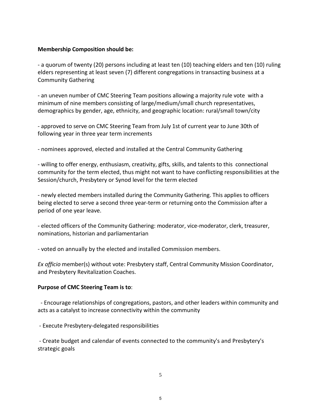#### **Membership Composition should be:**

- a quorum of twenty (20) persons including at least ten (10) teaching elders and ten (10) ruling elders representing at least seven (7) different congregations in transacting business at a Community Gathering

- an uneven number of CMC Steering Team positions allowing a majority rule vote with a minimum of nine members consisting of large/medium/small church representatives, demographics by gender, age, ethnicity, and geographic location: rural/small town/city

- approved to serve on CMC Steering Team from July 1st of current year to June 30th of following year in three year term increments

- nominees approved, elected and installed at the Central Community Gathering

- willing to offer energy, enthusiasm, creativity, gifts, skills, and talents to this connectional community for the term elected, thus might not want to have conflicting responsibilities at the Session/church, Presbytery or Synod level for the term elected

- newly elected members installed during the Community Gathering. This applies to officers being elected to serve a second three year-term or returning onto the Commission after a period of one year leave.

- elected officers of the Community Gathering: moderator, vice-moderator, clerk, treasurer, nominations, historian and parliamentarian

- voted on annually by the elected and installed Commission members.

*Ex officio* member(s) without vote: Presbytery staff, Central Community Mission Coordinator, and Presbytery Revitalization Coaches.

#### **Purpose of CMC Steering Team is to**:

 - Encourage relationships of congregations, pastors, and other leaders within community and acts as a catalyst to increase connectivity within the community

- Execute Presbytery-delegated responsibilities

 - Create budget and calendar of events connected to the community's and Presbytery's strategic goals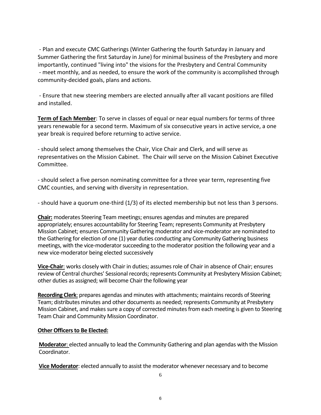- Plan and execute CMC Gatherings (Winter Gathering the fourth Saturday in January and Summer Gathering the first Saturday in June) for minimal business of the Presbytery and more importantly, continued "living into" the visions for the Presbytery and Central Community - meet monthly, and as needed, to ensure the work of the community is accomplished through community-decided goals, plans and actions.

 - Ensure that new steering members are elected annually after all vacant positions are filled and installed.

**Term of Each Member**: To serve in classes of equal or near equal numbers for terms of three years renewable for a second term. Maximum of six consecutive years in active service, a one year break is required before returning to active service.

- should select among themselves the Chair, Vice Chair and Clerk, and will serve as representatives on the Mission Cabinet. The Chair will serve on the Mission Cabinet Executive Committee.

- should select a five person nominating committee for a three year term, representing five CMC counties, and serving with diversity in representation.

- should have a quorum one-third (1/3) of its elected membership but not less than 3 persons.

**Chair:** moderates Steering Team meetings; ensures agendas and minutes are prepared appropriately; ensures accountability for Steering Team; represents Community at Presbytery Mission Cabinet; ensures Community Gathering moderator and vice-moderator are nominated to the Gathering for election of one (1) year duties conducting any Community Gathering business meetings, with the vice-moderator succeeding to the moderator position the following year and a new vice-moderator being elected successively

**Vice-Chair**: works closely with Chair in duties; assumes role of Chair in absence of Chair; ensures review of Central churches' Sessional records; represents Community at Presbytery Mission Cabinet; other duties as assigned; will become Chair the following year

**Recording Clerk**: prepares agendas and minutes with attachments; maintains records of Steering Team; distributes minutes and other documents as needed; represents Community at Presbytery Mission Cabinet, and makes sure a copy of corrected minutes from each meeting is given to Steering Team Chair and Community Mission Coordinator.

#### **Other Officers to Be Elected:**

**Moderator**: elected annually to lead the Community Gathering and plan agendas with the Mission Coordinator.

**Vice Moderator**: elected annually to assist the moderator whenever necessary and to become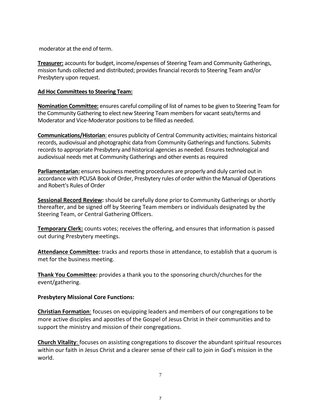moderator at the end of term.

**Treasurer:** accounts for budget, income/expenses of Steering Team and Community Gatherings, mission funds collected and distributed; provides financial records to Steering Team and/or Presbytery upon request.

#### **Ad Hoc Committees to Steering Team:**

**Nomination Committee:** ensures careful compiling of list of names to be given to Steering Team for the Community Gathering to elect new Steering Team members for vacant seats/terms and Moderator and Vice-Moderator positions to be filled as needed.

**Communications/Historian**: ensures publicity of Central Community activities; maintains historical records, audiovisual and photographic data from Community Gatherings and functions. Submits records to appropriate Presbytery and historical agencies as needed. Ensures technological and audiovisual needs met at Community Gatherings and other events as required

**Parliamentarian:** ensures business meeting procedures are properly and duly carried out in accordance with PCUSA Book of Order, Presbytery rules of order within the Manual of Operations and Robert's Rules of Order

**Sessional Record Review:** should be carefully done prior to Community Gatherings or shortly thereafter, and be signed off by Steering Team members or individuals designated by the Steering Team, or Central Gathering Officers.

**Temporary Clerk:** counts votes; receives the offering, and ensures that information is passed out during Presbytery meetings.

**Attendance Committee:** tracks and reports those in attendance, to establish that a quorum is met for the business meeting.

**Thank You Committee:** provides a thank you to the sponsoring church/churches for the event/gathering.

#### **Presbytery Missional Core Functions:**

**Christian Formation**: focuses on equipping leaders and members of our congregations to be more active disciples and apostles of the Gospel of Jesus Christ in their communities and to support the ministry and mission of their congregations.

**Church Vitality**: focuses on assisting congregations to discover the abundant spiritual resources within our faith in Jesus Christ and a clearer sense of their call to join in God's mission in the world.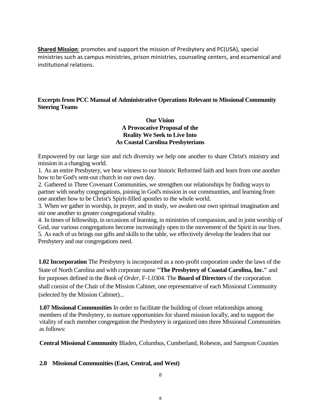**Shared Mission**: promotes and support the mission of Presbytery and PC(USA), special ministries such as campus ministries, prison ministries, counseling centers, and ecumenical and institutional relations.

#### **Excerpts from PCC Manual of Administrative Operations Relevant to Missional Community Steering Teams**

#### **Our Vision A Provocative Proposal of the Reality We Seek to Live Into As Coastal Carolina Presbyterians**

Empowered by our large size and rich diversity we help one another to share Christ's ministry and mission in a changing world.

1. As an entire Presbytery, we bear witness to our historic Reformed faith and learn from one another how to be God's sent-out church in our own day.

2. Gathered in Three Covenant Communities, we strengthen our relationships by finding ways to partner with nearby congregations, joining in God's mission in our communities, and learning from one another how to be Christ's Spirit-filled apostles to the whole world.

3. When we gather in worship, in prayer, and in study, we awaken our own spiritual imagination and stir one another to greater congregational vitality.

4. In times of fellowship, in occasions of learning, in ministries of compassion, and in joint worship of God, our various congregations become increasingly open to the movement of the Spirit in our lives. 5. As each of us brings our gifts and skills to the table, we effectively develop the leaders that our Presbytery and our congregations need.

**1.02 Incorporation** The Presbytery is incorporated as a non-profit corporation under the laws of the State of North Carolina and with corporate name **"The Presbytery of Coastal Carolina, Inc."** and for purposes defined in the *Book of Order,* F-1.0304. The **Board of Directors** of the corporation shall consist of the Chair of the Mission Cabinet, one representative of each Missional Community (selected by the Mission Cabinet)...

**1.07 Missional Communities** In order to facilitate the building of closer relationships among members of the Presbytery, to nurture opportunities for shared mission locally, and to support the vitality of each member congregation the Presbytery is organized into three Missional Communities as follows:

**Central Missional Community** Bladen, Columbus, Cumberland, Robeson, and Sampson Counties

#### **2.0 Missional Communities (East, Central, and West)**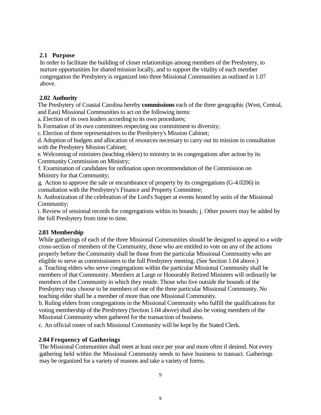#### **2.1 Purpose**

In order to facilitate the building of closer relationships among members of the Presbytery, to nurture opportunities for shared mission locally, and to support the vitality of each member congregation the Presbytery is organized into three Missional Communities as outlined in 1.07 above.

#### **2.02 Authority**

The Presbytery of Coastal Carolina hereby **commissions** each of the three geographic (West, Central, and East) Missional Communities to act on the following items:

a. Election of its own leaders according to its own procedures;

b. Formation of its own committees respecting our commitment to diversity;

c.Election of three representatives to the Presbytery's Mission Cabinet;

d. Adoption of budgets and allocation of resources necessary to carry out its mission in consultation with the Presbytery Mission Cabinet;

e. Welcoming of ministers (teaching elders) to ministry in its congregations after action by its Community Commission on Ministry;

f. Examination of candidates for ordination upon recommendation of the Commission on Ministry for that Community;

g. Action to approve the sale or encumbrance of property by its congregations (G-4.0206) in consultation with the Presbytery's Finance and Property Committee;

h. Authorization of the celebration of the Lord's Supper at events hosted by units of the Missional Community;

i. Review of sessional records for congregations within its bounds; j. Other powers may be added by the full Presbytery from time to time.

#### **2.03 Membership**

While gatherings of each of the three Missional Communities should be designed to appeal to a wide cross-section of members of the Community, those who are entitled to vote on any of the actions properly before the Community shall be those from the particular Missional Community who are eligible to serve as commissioners to the full Presbytery meeting. (See Section 1.04 above.)

a. Teaching elders who serve congregations within the particular Missional Community shall be members of that Community. Members at Large or Honorably Retired Ministers will ordinarily be members of the Community in which they reside. Those who live outside the bounds of the Presbytery may choose to be members of one of the three particular Missional Community. No teaching elder shall be a member of more than one Missional Community.

b. Ruling elders from congregations in the Missional Community who fulfill the qualifications for voting membership of the Presbytery (Section 1.04 above) shall also be voting members of the Missional Community when gathered for the transaction of business.

c. An official roster of each Missional Community will be kept by the Stated Clerk.

#### **2.04 Frequency of Gatherings**

The Missional Communities shall meet at least once per year and more often if desired. Not every gathering held within the Missional Community needs to have business to transact. Gatherings may be organized for a variety of reasons and take a variety of forms.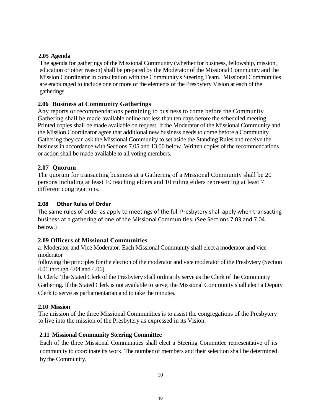#### **2.05 Agenda**

The agenda for gatherings of the Missional Community (whether for business, fellowship, mission, education or other reason) shall be prepared by the Moderator of the Missional Community and the Mission Coordinator in consultation with the Community's Steering Team. Missional Communities are encouraged to include one or more of the elements of the Presbytery Vision at each of the gatherings.

#### **2.06 Business at Community Gatherings**

Any reports or recommendations pertaining to business to come before the Community Gathering shall be made available online not less than ten days before the scheduled meeting. Printed copies shall be made available on request. If the Moderator of the Missional Community and the Mission Coordinator agree that additional new business needs to come before a Community Gathering they can ask the Missional Community to set aside the Standing Rules and receive the business in accordance with Sections 7.05 and 13.00 below. Written copies of the recommendations or action shall be made available to all voting members.

#### **2.07 Quorum**

The quorum for transacting business at a Gathering of a Missional Community shall be 20 persons including at least 10 teaching elders and 10 ruling elders representing at least 7 different congregations.

#### **2.08 Other Rules of Order**

The same rules of order as apply to meetings of the full Presbytery shall apply when transacting business at a gathering of one of the Missional Communities. (See Sections 7.03 and 7.04 below.)

#### **2.09 Officers of Missional Communities**

a. Moderator and Vice Moderator: Each Missional Community shall elect a moderator and vice moderator

following the principles for the election of the moderator and vice moderator of the Presbytery (Section 4.01 through 4.04 and 4.06).

b. Clerk: The Stated Clerk of the Presbytery shall ordinarily serve as the Clerk of the Community Gathering. If the Stated Clerk is not available to serve, the Missional Community shall elect a Deputy Clerk to serve as parliamentarian and to take the minutes.

#### **2.10 Mission**

The mission of the three Missional Communities is to assist the congregations of the Presbytery to live into the mission of the Presbytery as expressed in its Vision:

#### **2.11 Missional Community Steering Committee**

Each of the three Missional Communities shall elect a Steering Committee representative of its community to coordinate its work. The number of members and their selection shall be determined by the Community.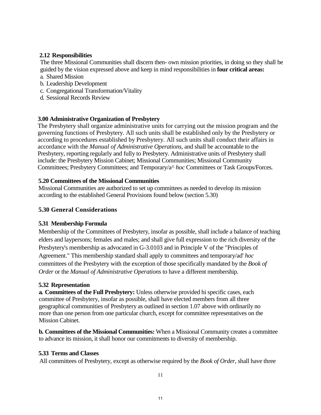#### **2.12 Responsibilities**

The three Missional Communities shall discern then- own mission priorities, in doing so they shall be guided by the vision expressed above and keep in mind responsibilities in **four critical areas:**

- a. Shared Mission
- b. Leadership Development
- c. Congregational Transformation/Vitality
- d. Sessional Records Review

#### **3.00 Administrative Organization of Presbytery**

The Presbytery shall organize administrative units for carrying out the mission program and the governing functions of Presbytery. All such units shall be established only by the Presbytery or according to procedures established by Presbytery. All such units shall conduct their affairs in accordance with the *Manual of Administrative Operations,* and shall be accountable to the Presbytery, reporting regularly and fully to Presbytery. Administrative units of Presbytery shall include: the Presbytery Mission Cabinet; Missional Communities; Missional Community Committees; Presbytery Committees; and Temporary/a^ *hoc* Committees or Task Groups/Forces.

#### **5.20 Committees of the Missional Communities**

Missional Communities are authorized to set up committees as needed to develop its mission according to the established General Provisions found below (section 5.30)

#### **5.30 General Considerations**

#### **5.31 Membership Formula**

Membership of the Committees of Presbytery, insofar as possible, shall include a balance of teaching elders and laypersons; females and males; and shall give full expression to the rich diversity of the Presbytery's membership as advocated in G-3.0103 and in Principle V of the "Principles of Agreement." This membership standard shall apply to committees and temporary/ad' *hoc*  committees of the Presbytery with the exception of those specifically mandated by the *Book of Order* or the *Manual of Administrative Operations* to have a different membership.

#### **5.32 Representation**

**a. Committees of the Full Presbytery:** Unless otherwise provided hi specific cases, each committee of Presbytery, insofar as possible, shall have elected members from all three geographical communities of Presbytery as outlined in section 1.07 above with ordinarily no more than one person from one particular church, except for committee representatives on the Mission Cabinet.

**b. Committees of the Missional Communities:** When a Missional Community creates a committee to advance its mission, it shall honor our commitments to diversity of membership.

#### **5.33 Terms and Classes**

All committees of Presbytery, except as otherwise required by the *Book of Order,* shall have three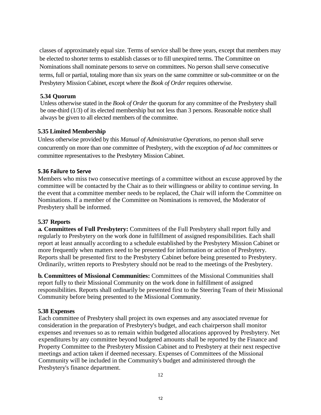classes of approximately equal size. Terms of service shall be three years, except that members may be elected to shorter terms to establish classes or to fill unexpired terms. The Committee on Nominations shall nominate persons to serve on committees. No person shall serve consecutive terms, full or partial, totaling more than six years on the same committee or sub-committee or on the Presbytery Mission Cabinet, except where the *Book of Order* requires otherwise.

#### **5.34 Quorum**

Unless otherwise stated in the *Book of Order* the quorum for any committee of the Presbytery shall be one-third (1/3) of its elected membership but not less than 3 persons. Reasonable notice shall always be given to all elected members of the committee.

#### **5.35 Limited Membership**

Unless otherwise provided by this *Manual of Administrative Operations,* no person shall serve concurrently on more than one committee of Presbytery, with the exception *of ad hoc* committees or committee representatives to the Presbytery Mission Cabinet.

#### **5.36 Failure to Serve**

Members who miss two consecutive meetings of a committee without an excuse approved by the committee will be contacted by the Chair as to their willingness or ability to continue serving. In the event that a committee member needs to be replaced, the Chair will inform the Committee on Nominations. If a member of the Committee on Nominations is removed, the Moderator of Presbytery shall be informed.

#### **5.37 Reports**

**a. Committees of Full Presbytery:** Committees of the Full Presbytery shall report fully and regularly to Presbytery on the work done in fulfillment of assigned responsibilities. Each shall report at least annually according to a schedule established by the Presbytery Mission Cabinet or more frequently when matters need to be presented for information or action of Presbytery. Reports shall be presented first to the Presbytery Cabinet before being presented to Presbytery. Ordinarily, written reports to Presbytery should not be read to the meetings of the Presbytery.

**b. Committees of Missional Communities:** Committees of the Missional Communities shall report fully to their Missional Community on the work done in fulfillment of assigned responsibilities. Reports shall ordinarily be presented first to the Steering Team of their Missional Community before being presented to the Missional Community.

#### **5.38 Expenses**

Each committee of Presbytery shall project its own expenses and any associated revenue for consideration in the preparation of Presbytery's budget, and each chairperson shall monitor expenses and revenues so as to remain within budgeted allocations approved by Presbytery. Net expenditures by any committee beyond budgeted amounts shall be reported by the Finance and Property Committee to the Presbytery Mission Cabinet and to Presbytery at their next respective meetings and action taken if deemed necessary. Expenses of Committees of the Missional Community will be included in the Community's budget and administered through the Presbytery's finance department.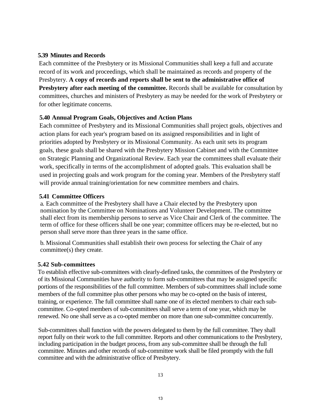#### **5.39 Minutes and Records**

Each committee of the Presbytery or its Missional Communities shall keep a full and accurate record of its work and proceedings, which shall be maintained as records and property of the Presbytery. **A copy of records and reports shall be sent to the administrative office of Presbytery after each meeting of the committee.** Records shall be available for consultation by committees, churches and ministers of Presbytery as may be needed for the work of Presbytery or for other legitimate concerns.

#### **5.40 Annual Program Goals, Objectives and Action Plans**

Each committee of Presbytery and its Missional Communities shall project goals, objectives and action plans for each year's program based on its assigned responsibilities and in light of priorities adopted by Presbytery or its Missional Community. As each unit sets its program goals, these goals shall be shared with the Presbytery Mission Cabinet and with the Committee on Strategic Planning and Organizational Review. Each year the committees shall evaluate their work, specifically in terms of the accomplishment of adopted goals. This evaluation shall be used in projecting goals and work program for the coming year. Members of the Presbytery staff will provide annual training/orientation for new committee members and chairs.

#### **5.41 Committee Officers**

a. Each committee of the Presbytery shall have a Chair elected by the Presbytery upon nomination by the Committee on Nominations and Volunteer Development. The committee shall elect from its membership persons to serve as Vice Chair and Clerk of the committee. The term of office for these officers shall be one year; committee officers may be re-elected, but no person shall serve more than three years in the same office.

b. Missional Communities shall establish their own process for selecting the Chair of any committee(s) they create.

#### **5.42 Sub-committees**

To establish effective sub-committees with clearly-defined tasks, the committees of the Presbytery or of its Missional Communities have authority to form sub-committees that may be assigned specific portions of the responsibilities of the full committee. Members of sub-committees shall include some members of the full committee plus other persons who may be co-opted on the basis of interest, training, or experience. The full committee shall name one of its elected members to chair each subcommittee. Co-opted members of sub-committees shall serve a term of one year, which may be renewed. No one shall serve as a co-opted member on more than one sub-committee concurrently.

Sub-committees shall function with the powers delegated to them by the full committee. They shall report fully on their work to the full committee. Reports and other communications to the Presbytery, including participation in the budget process, from any sub-committee shall be through the full committee. Minutes and other records of sub-committee work shall be filed promptly with the full committee and with the administrative office of Presbytery.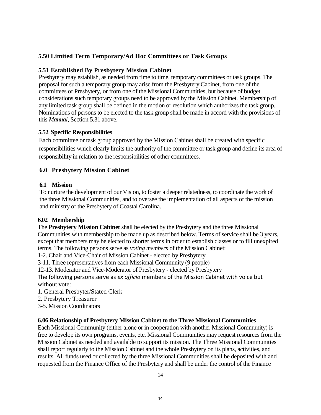#### **5.50 Limited Term Temporary/Ad Hoc Committees or Task Groups**

#### **5.51 Established By Presbytery Mission Cabinet**

Presbytery may establish, as needed from time to time, temporary committees or task groups. The proposal for such a temporary group may arise from the Presbytery Cabinet, from one of the committees of Presbytery, or from one of the Missional Communities, but because of budget considerations such temporary groups need to be approved by the Mission Cabinet. Membership of any limited task group shall be defined in the motion or resolution which authorizes the task group. Nominations of persons to be elected to the task group shall be made in accord with the provisions of this *Manual,* Section 5.31 above.

#### **5.52 Specific Responsibilities**

Each committee or task group approved by the Mission Cabinet shall be created with specific responsibilities which clearly limits the authority of the committee or task group and define its area of responsibility in relation to the responsibilities of other committees.

#### **6.0 Presbytery Mission Cabinet**

#### **6.1 Mission**

To nurture the development of our Vision, to foster a deeper relatedness, to coordinate the work of the three Missional Communities, and to oversee the implementation of all aspects of the mission and ministry of the Presbytery of Coastal Carolina.

#### **6.02 Membership**

The **Presbytery Mission Cabinet** shall be elected by the Presbytery and the three Missional Communities with membership to be made up as described below. Terms of service shall be 3 years, except that members may be elected to shorter terms in order to establish classes or to fill unexpired terms. The following persons serve as *voting members* of the Mission Cabinet:

1-2. Chair and Vice-Chair of Mission Cabinet - elected by Presbytery

3-11. Three representatives from each Missional Community (9 people)

12-13. Moderator and Vice-Moderator of Presbytery - elected by Presbytery

The following persons serve as *ex officio* members of the Mission Cabinet with voice but without vote:

- 1. General Presbyter/Stated Clerk
- 2. Presbytery Treasurer
- 3-5. Mission Coordinators

#### **6.06 Relationship of Presbytery Mission Cabinet to the Three Missional Communities**

Each Missional Community (either alone or in cooperation with another Missional Community) is free to develop its own programs, events, etc. Missional Communities may request resources from the Mission Cabinet as needed and available to support its mission. The Three Missional Communities shall report regularly to the Mission Cabinet and the whole Presbytery on its plans, activities, and results. All funds used or collected by the three Missional Communities shall be deposited with and requested from the Finance Office of the Presbytery and shall be under the control of the Finance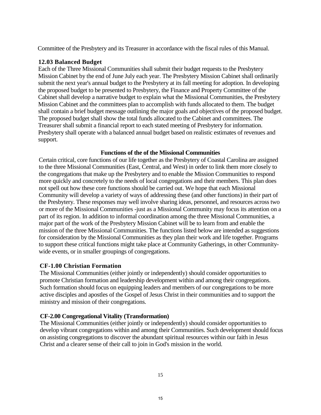Committee of the Presbytery and its Treasurer in accordance with the fiscal rules of this Manual.

#### **12.03 Balanced Budget**

Each of the Three Missional Communities shall submit their budget requests to the Presbytery Mission Cabinet by the end of June July each year. The Presbytery Mission Cabinet shall ordinarily submit the next year's annual budget to the Presbytery at its fall meeting for adoption. In developing the proposed budget to be presented to Presbytery, the Finance and Property Committee of the Cabinet shall develop a narrative budget to explain what the Missional Communities, the Presbytery Mission Cabinet and the committees plan to accomplish with funds allocated to them. The budget shall contain a brief budget message outlining the major goals and objectives of the proposed budget. The proposed budget shall show the total funds allocated to the Cabinet and committees. The Treasurer shall submit a financial report to each stated meeting of Presbytery for information. Presbytery shall operate with a balanced annual budget based on realistic estimates of revenues and support.

#### **Functions of the of the Missional Communities**

Certain critical, core functions of our life together as the Presbytery of Coastal Carolina are assigned to the three Missional Communities (East, Central, and West) in order to link them more closely to the congregations that make up the Presbytery and to enable the Mission Communities to respond more quickly and concretely to the needs of local congregations and their members. This plan does not spell out how these core functions should be carried out. We hope that each Missional Community will develop a variety of ways of addressing these (and other functions) in their part of the Presbytery. These responses may well involve sharing ideas, personnel, and resources across two or more of the Missional Communities -just as a Missional Community may focus its attention on a part of its region. In addition to informal coordination among the three Missional Communities, a major part of the work of the Presbytery Mission Cabinet will be to learn from and enable the mission of the three Missional Communities. The functions listed below are intended as suggestions for consideration by the Missional Communities as they plan their work and life together. Programs to support these critical functions might take place at Community Gatherings, in other Communitywide events, or in smaller groupings of congregations.

#### **CF-1.00 Christian Formation**

The Missional Communities (either jointly or independently) should consider opportunities to promote Christian formation and leadership development within and among their congregations. Such formation should focus on equipping leaders and members of our congregations to be more active disciples and apostles of the Gospel of Jesus Christ in their communities and to support the ministry and mission of their congregations.

#### **CF-2.00 Congregational Vitality (Transformation)**

The Missional Communities (either jointly or independently) should consider opportunities to develop vibrant congregations within and among their Communities. Such development should focus on assisting congregations to discover the abundant spiritual resources within our faith in Jesus Christ and a clearer sense of their call to join in God's mission in the world.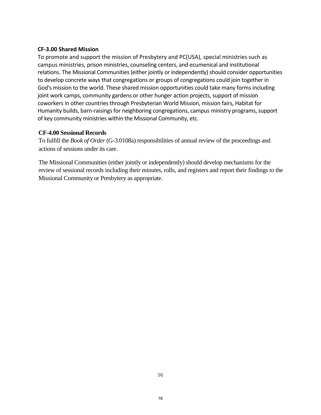#### **CF-3.00 Shared Mission**

To promote and support the mission of Presbytery and PC(USA), special ministries such as campus ministries, prison ministries, counseling centers, and ecumenical and institutional relations. The Missional Communities (either jointly or independently) should consider opportunities to develop concrete ways that congregations or groups of congregations could join together in God's mission to the world. These shared mission opportunities could take many forms including joint work camps, community gardens or other hunger action projects, support of mission coworkers in other countries through Presbyterian World Mission, mission fairs, Habitat for Humanity builds, barn-raisings for neighboring congregations, campus ministry programs, support of key community ministries within the Missional Community, etc.

#### **CF-4.00 Sessional Records**

To fulfill the *Book of Order* (G-3.0108a) responsibilities of annual review of the proceedings and actions of sessions under its care.

The Missional Communities (either jointly or independently) should develop mechanisms for the review of sessional records including their minutes, rolls, and registers and report their findings to the Missional Community or Presbytery as appropriate.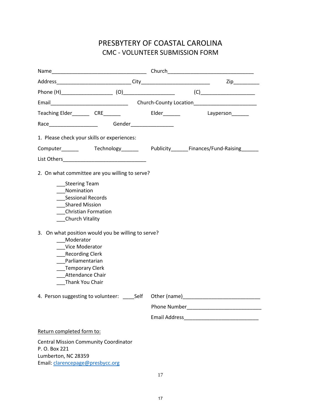### PRESBYTERY OF COASTAL CAROLINA CMC - VOLUNTEER SUBMISSION FORM

| 1. Please check your skills or experiences:                                                                                                                                                                                                                                                                                                                              |                                                                                       |  |  |
|--------------------------------------------------------------------------------------------------------------------------------------------------------------------------------------------------------------------------------------------------------------------------------------------------------------------------------------------------------------------------|---------------------------------------------------------------------------------------|--|--|
|                                                                                                                                                                                                                                                                                                                                                                          | Computer_________   Technology_________  Publicity_______Finances/Fund-Raising_______ |  |  |
|                                                                                                                                                                                                                                                                                                                                                                          |                                                                                       |  |  |
| 2. On what committee are you willing to serve?<br><b>Steering Team</b><br>Nomination<br><b>Sessional Records</b><br>Shared Mission<br><b>Christian Formation</b><br>Church Vitality<br>3. On what position would you be willing to serve?<br>Moderator<br>Vice Moderator<br>Recording Clerk<br>Parliamentarian<br>Temporary Clerk<br>Attendance Chair<br>Thank You Chair |                                                                                       |  |  |
|                                                                                                                                                                                                                                                                                                                                                                          |                                                                                       |  |  |
|                                                                                                                                                                                                                                                                                                                                                                          |                                                                                       |  |  |
| Return completed form to:                                                                                                                                                                                                                                                                                                                                                |                                                                                       |  |  |
| <b>Central Mission Community Coordinator</b><br>P. O. Box 221<br>Lumberton, NC 28359<br>Email: clarencepage@presbycc.org                                                                                                                                                                                                                                                 |                                                                                       |  |  |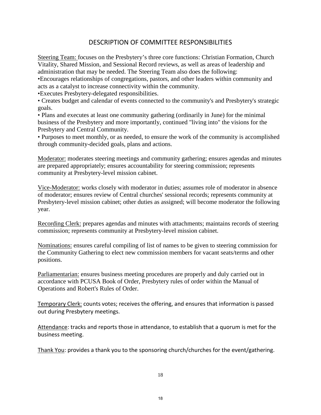#### DESCRIPTION OF COMMITTEE RESPONSIBILITIES

Steering Team: focuses on the Presbytery's three core functions: Christian Formation, Church Vitality, Shared Mission, and Sessional Record reviews, as well as areas of leadership and administration that may be needed. The Steering Team also does the following:

•Encourages relationships of congregations, pastors, and other leaders within community and acts as a catalyst to increase connectivity within the community.

•Executes Presbytery-delegated responsibilities.

• Creates budget and calendar of events connected to the community's and Presbytery's strategic goals.

• Plans and executes at least one community gathering (ordinarily in June) for the minimal business of the Presbytery and more importantly, continued "living into" the visions for the Presbytery and Central Community.

• Purposes to meet monthly, or as needed, to ensure the work of the community is accomplished through community-decided goals, plans and actions.

Moderator: moderates steering meetings and community gathering; ensures agendas and minutes are prepared appropriately; ensures accountability for steering commission; represents community at Presbytery-level mission cabinet.

Vice-Moderator: works closely with moderator in duties; assumes role of moderator in absence of moderator; ensures review of Central churches' sessional records; represents community at Presbytery-level mission cabinet; other duties as assigned; will become moderator the following year.

Recording Clerk: prepares agendas and minutes with attachments; maintains records of steering commission; represents community at Presbytery-level mission cabinet.

Nominations: ensures careful compiling of list of names to be given to steering commission for the Community Gathering to elect new commission members for vacant seats/terms and other positions.

Parliamentarian: ensures business meeting procedures are properly and duly carried out in accordance with PCUSA Book of Order, Presbytery rules of order within the Manual of Operations and Robert's Rules of Order.

Temporary Clerk: counts votes; receives the offering, and ensures that information is passed out during Presbytery meetings.

Attendance: tracks and reports those in attendance, to establish that a quorum is met for the business meeting.

Thank You: provides a thank you to the sponsoring church/churches for the event/gathering.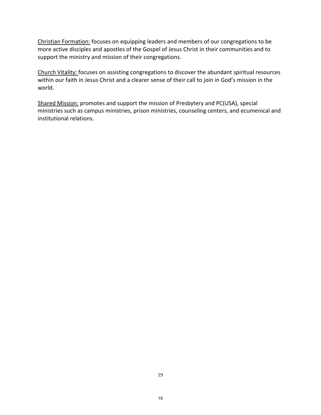Christian Formation: focuses on equipping leaders and members of our congregations to be more active disciples and apostles of the Gospel of Jesus Christ in their communities and to support the ministry and mission of their congregations.

Church Vitality: focuses on assisting congregations to discover the abundant spiritual resources within our faith in Jesus Christ and a clearer sense of their call to join in God's mission in the world.

Shared Mission: promotes and support the mission of Presbytery and PC(USA), special ministries such as campus ministries, prison ministries, counseling centers, and ecumenical and institutional relations.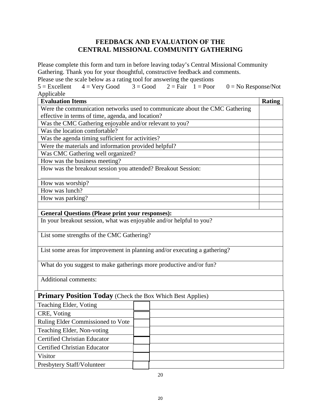#### **FEEDBACK AND EVALUATION OF THE CENTRAL MISSIONAL COMMUNITY GATHERING**

Please complete this form and turn in before leaving today's Central Missional Community Gathering. Thank you for your thoughtful, constructive feedback and comments.

Please use the scale below as a rating tool for answering the questions<br>5 = Excellent 4 = Very Good 3 = Good 2 = Fair 1 = Poor

 $5 =$  Excellent  $4 =$  Very Good  $3 =$  Good  $2 =$  Fair  $1 =$  Poor  $0 =$  No Response/Not **Applicable** 

| <b>Evaluation Items</b>                                             |                                                                             | Rating |  |
|---------------------------------------------------------------------|-----------------------------------------------------------------------------|--------|--|
|                                                                     | Were the communication networks used to communicate about the CMC Gathering |        |  |
| effective in terms of time, agenda, and location?                   |                                                                             |        |  |
| Was the CMC Gathering enjoyable and/or relevant to you?             |                                                                             |        |  |
| Was the location comfortable?                                       |                                                                             |        |  |
| Was the agenda timing sufficient for activities?                    |                                                                             |        |  |
| Were the materials and information provided helpful?                |                                                                             |        |  |
| Was CMC Gathering well organized?                                   |                                                                             |        |  |
| How was the business meeting?                                       |                                                                             |        |  |
| How was the breakout session you attended? Breakout Session:        |                                                                             |        |  |
| How was worship?                                                    |                                                                             |        |  |
| How was lunch?                                                      |                                                                             |        |  |
| How was parking?                                                    |                                                                             |        |  |
|                                                                     |                                                                             |        |  |
| <b>General Questions (Please print your responses):</b>             |                                                                             |        |  |
| In your breakout session, what was enjoyable and/or helpful to you? |                                                                             |        |  |
| List some strengths of the CMC Gathering?                           |                                                                             |        |  |
|                                                                     | List some areas for improvement in planning and/or executing a gathering?   |        |  |
| What do you suggest to make gatherings more productive and/or fun?  |                                                                             |        |  |
| Additional comments:                                                |                                                                             |        |  |
| <b>Primary Position Today</b> (Check the Box Which Best Applies)    |                                                                             |        |  |
| Teaching Elder, Voting                                              |                                                                             |        |  |
| CRE, Voting                                                         |                                                                             |        |  |
| Ruling Elder Commissioned to Vote                                   |                                                                             |        |  |
| Teaching Elder, Non-voting                                          |                                                                             |        |  |
| <b>Certified Christian Educator</b>                                 |                                                                             |        |  |
| <b>Certified Christian Educator</b>                                 |                                                                             |        |  |
| Visitor                                                             |                                                                             |        |  |
| Presbytery Staff/Volunteer                                          |                                                                             |        |  |